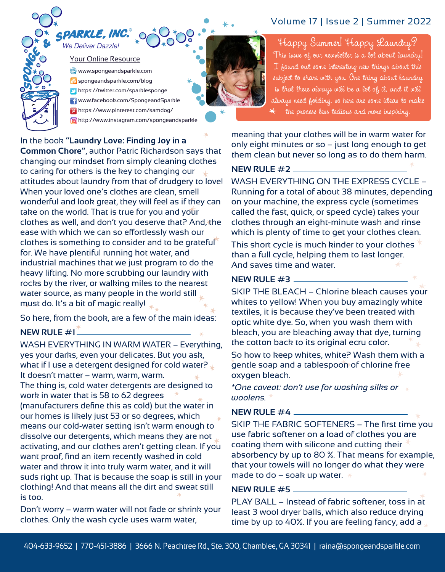

#### PARKLE, INC. We Deliver Dazzle!

Your Online Resource www.spongeandsparkle.com **b** spongeandsparkle.com/blog https://twitter.com/sparklesponge **f** www.facebook.com/SpongeandSparkle https://www.pinterest.com/samdog/ http://www.instagram.com/spongeandsparkle

In the book **"Laundry Love: Finding Joy in a** 

**Common Chore"**, author Patric Richardson says that changing our mindset from simply cleaning clothes to caring for others is the key to changing our attitudes about laundry from that of drudgery to love! When your loved one's clothes are clean, smell wonderful and look great, they will feel as if they can take on the world. That is true for you and your clothes as well, and don't you deserve that? And, the ease with which we can so effortlessly wash our clothes is something to consider and to be grateful for. We have plentiful running hot water, and industrial machines that we just program to do the heavy lifting. No more scrubbing our laundry with rocks by the river, or walking miles to the nearest water source, as many people in the world still must do. It's a bit of magic really!

So here, from the book, are a few of the main ideas: **NEW RULE #1** 

WASH EVERYTHING IN WARM WATER – Everything, yes your darks, even your delicates. But you ask, what if I use a detergent designed for cold water? It doesn't matter – warm, warm, warm. The thing is, cold water detergents are designed to work in water that is 58 to 62 degrees (manufacturers define this as cold) but the water in our homes is likely just 53 or so degrees, which means our cold-water setting isn't warm enough to dissolve our detergents, which means they are not activating, and our clothes aren't getting clean. If you want proof, find an item recently washed in cold water and throw it into truly warm water, and it will suds right up. That is because the soap is still in your clothing! And that means all the dirt and sweat still is too.

Don't worry – warm water will not fade or shrink your clothes. Only the wash cycle uses warm water,

# Volume 17 | Issue 2 | Summer 2022

Happy Summer! Happy Laundry? This issue of our newsletter is a lot about laundry! I found out some interesting new things about this subject to share with you. One thing about laundry is that there always will be a lot of it, and it will always need folding, so here are some ideas to make the process less tedious and more inspiring.

meaning that your clothes will be in warm water for only eight minutes or so – just long enough to get them clean but never so long as to do them harm.

#### **NEW RULE #2**

WASH EVERYTHING ON THE EXPRESS CYCLE – Running for a total of about 38 minutes, depending on your machine, the express cycle (sometimes called the fast, quick, or speed cycle) takes your clothes through an eight-minute wash and rinse which is plenty of time to get your clothes clean.

This short cycle is much kinder to your clothes than a full cycle, helping them to last longer. And saves time and water.

#### **NEW RULE #3**

SKIP THE BLEACH – Chlorine bleach causes your whites to yellow! When you buy amazingly white textiles, it is because they've been treated with optic white dye. So, when you wash them with bleach, you are bleaching away that dye, turning the cotton back to its original ecru color.

So how to keep whites, white? Wash them with a gentle soap and a tablespoon of chlorine free oxygen bleach.

*\*One caveat: don't use for washing silks or woolens.*

#### **NEW RULE #4**

SKIP THE FABRIC SOFTENERS – The first time you use fabric softener on a load of clothes you are coating them with silicone and cutting their absorbency by up to 80 %. That means for example, that your towels will no longer do what they were made to do – soak up water.  $\star$ 

#### **NEW RULE #5**

PLAY BALL – Instead of fabric softener, toss in at least 3 wool dryer balls, which also reduce drying time by up to 40%. If you are feeling fancy, add a